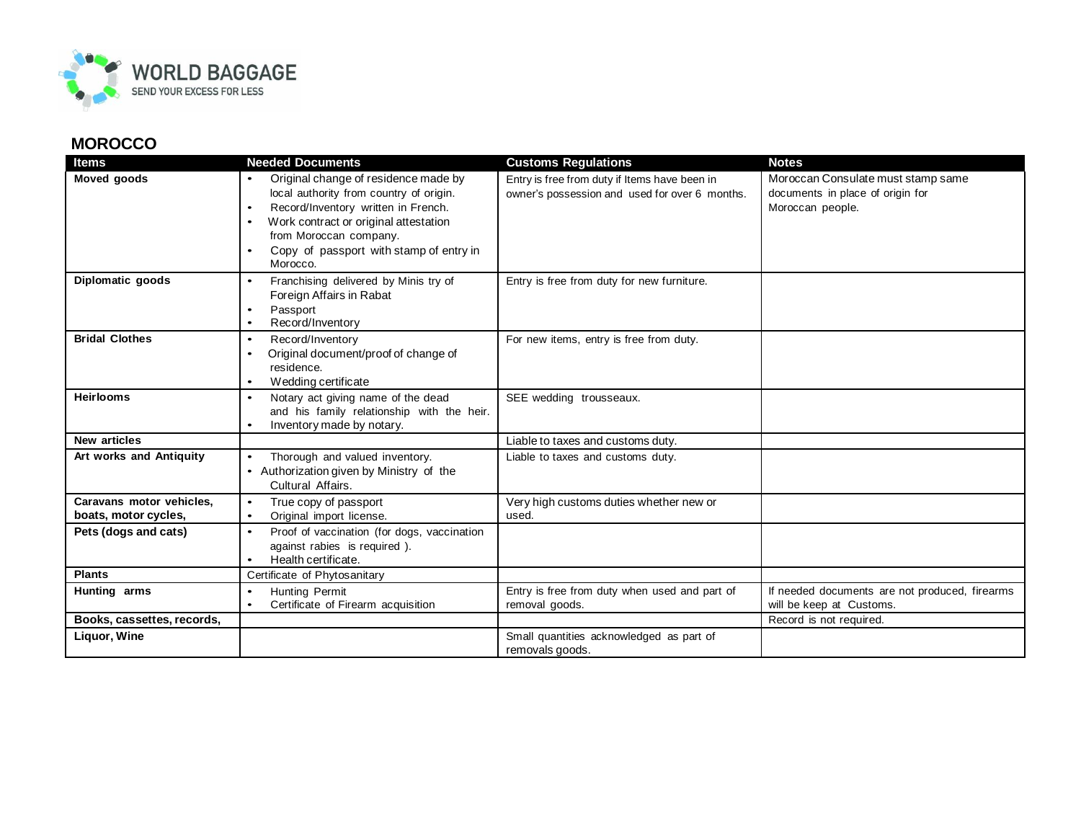

## **MOROCCO**

| <b>Items</b>                                     | <b>Needed Documents</b>                                                                                                                                                                                                                                       | <b>Customs Regulations</b>                                                                      | <b>Notes</b>                                                                               |
|--------------------------------------------------|---------------------------------------------------------------------------------------------------------------------------------------------------------------------------------------------------------------------------------------------------------------|-------------------------------------------------------------------------------------------------|--------------------------------------------------------------------------------------------|
| <b>Moved goods</b>                               | Original change of residence made by<br>local authority from country of origin.<br>Record/Inventory written in French.<br>$\bullet$<br>Work contract or original attestation<br>from Moroccan company.<br>Copy of passport with stamp of entry in<br>Morocco. | Entry is free from duty if Items have been in<br>owner's possession and used for over 6 months. | Moroccan Consulate must stamp same<br>documents in place of origin for<br>Moroccan people. |
| Diplomatic goods                                 | Franchising delivered by Minis try of<br>$\bullet$<br>Foreign Affairs in Rabat<br>Passport<br>Record/Inventory                                                                                                                                                | Entry is free from duty for new furniture.                                                      |                                                                                            |
| <b>Bridal Clothes</b>                            | Record/Inventory<br>$\bullet$<br>Original document/proof of change of<br>$\bullet$<br>residence.<br>Wedding certificate                                                                                                                                       | For new items, entry is free from duty.                                                         |                                                                                            |
| <b>Heirlooms</b>                                 | Notary act giving name of the dead<br>and his family relationship with the heir.<br>Inventory made by notary.<br>٠                                                                                                                                            | SEE wedding trousseaux.                                                                         |                                                                                            |
| <b>New articles</b>                              |                                                                                                                                                                                                                                                               | Liable to taxes and customs duty.                                                               |                                                                                            |
| Art works and Antiquity                          | Thorough and valued inventory.<br>$\bullet$<br>• Authorization given by Ministry of the<br>Cultural Affairs.                                                                                                                                                  | Liable to taxes and customs duty.                                                               |                                                                                            |
| Caravans motor vehicles,<br>boats, motor cycles, | True copy of passport<br>Original import license.<br>$\bullet$                                                                                                                                                                                                | Very high customs duties whether new or<br>used.                                                |                                                                                            |
| Pets (dogs and cats)                             | Proof of vaccination (for dogs, vaccination<br>$\bullet$<br>against rabies is required).<br>Health certificate.                                                                                                                                               |                                                                                                 |                                                                                            |
| <b>Plants</b>                                    | Certificate of Phytosanitary                                                                                                                                                                                                                                  |                                                                                                 |                                                                                            |
| Hunting arms                                     | Hunting Permit<br>$\bullet$<br>Certificate of Firearm acquisition<br>$\bullet$                                                                                                                                                                                | Entry is free from duty when used and part of<br>removal goods.                                 | If needed documents are not produced, firearms<br>will be keep at Customs.                 |
| Books, cassettes, records,                       |                                                                                                                                                                                                                                                               |                                                                                                 | Record is not required.                                                                    |
| Liquor, Wine                                     |                                                                                                                                                                                                                                                               | Small quantities acknowledged as part of<br>removals goods.                                     |                                                                                            |